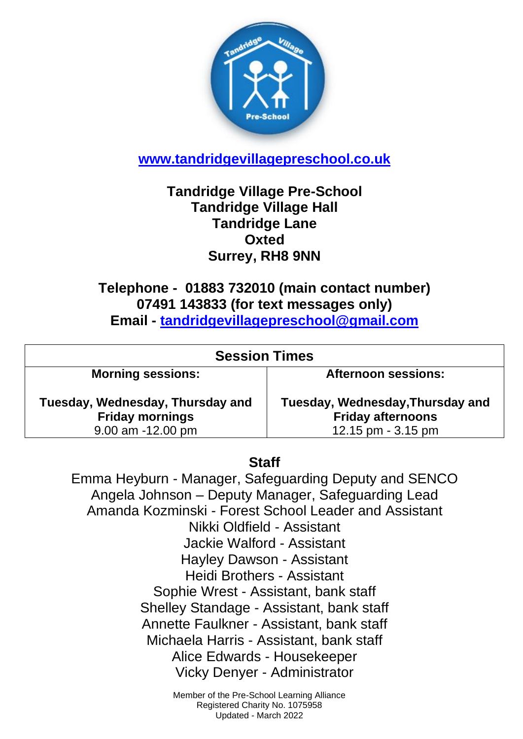

**[www.tandridgevillagepreschool.co.uk](http://www.tandridgevillagepreschool.co.uk/)**

## **Tandridge Village Pre-School Tandridge Village Hall Tandridge Lane Oxted Surrey, RH8 9NN**

**Telephone - 01883 732010 (main contact number) 07491 143833 (for text messages only) Email - [tandridgevillagepreschool@gmail.com](mailto:tandridgevillagepreschool@gmail.com)**

| <b>Session Times</b>                                       |                                                              |
|------------------------------------------------------------|--------------------------------------------------------------|
| <b>Morning sessions:</b>                                   | <b>Afternoon sessions:</b>                                   |
| Tuesday, Wednesday, Thursday and<br><b>Friday mornings</b> | Tuesday, Wednesday, Thursday and<br><b>Friday afternoons</b> |
| $9.00$ am $-12.00$ pm                                      | 12.15 pm - 3.15 pm                                           |

## **Staff**

Emma Heyburn - Manager, Safeguarding Deputy and SENCO Angela Johnson – Deputy Manager, Safeguarding Lead Amanda Kozminski - Forest School Leader and Assistant Nikki Oldfield - Assistant Jackie Walford - Assistant Hayley Dawson - Assistant Heidi Brothers - Assistant Sophie Wrest - Assistant, bank staff Shelley Standage - Assistant, bank staff Annette Faulkner - Assistant, bank staff Michaela Harris - Assistant, bank staff Alice Edwards - Housekeeper Vicky Denyer - Administrator

> Member of the Pre-School Learning Alliance Registered Charity No. 1075958 Updated - March 2022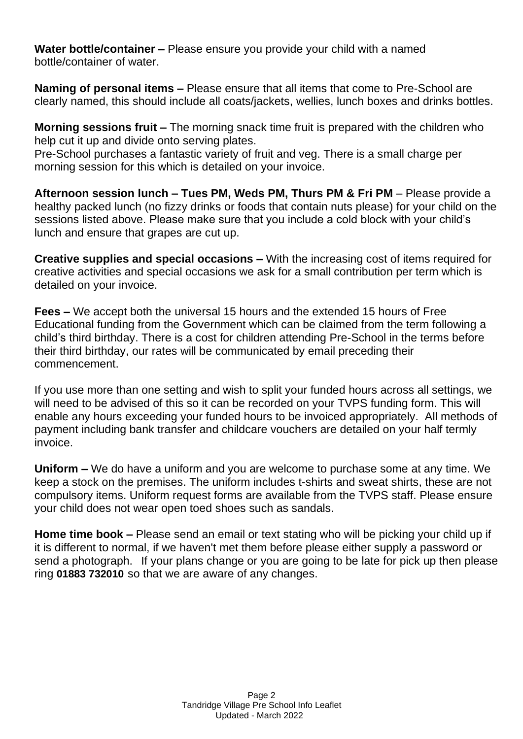**Water bottle/container –** Please ensure you provide your child with a named bottle/container of water.

**Naming of personal items –** Please ensure that all items that come to Pre-School are clearly named, this should include all coats/jackets, wellies, lunch boxes and drinks bottles.

**Morning sessions fruit –** The morning snack time fruit is prepared with the children who help cut it up and divide onto serving plates.

Pre-School purchases a fantastic variety of fruit and veg. There is a small charge per morning session for this which is detailed on your invoice.

**Afternoon session lunch – Tues PM, Weds PM, Thurs PM & Fri PM** – Please provide a healthy packed lunch (no fizzy drinks or foods that contain nuts please) for your child on the sessions listed above. Please make sure that you include a cold block with your child's lunch and ensure that grapes are cut up.

**Creative supplies and special occasions –** With the increasing cost of items required for creative activities and special occasions we ask for a small contribution per term which is detailed on your invoice.

**Fees –** We accept both the universal 15 hours and the extended 15 hours of Free Educational funding from the Government which can be claimed from the term following a child's third birthday. There is a cost for children attending Pre-School in the terms before their third birthday, our rates will be communicated by email preceding their commencement.

If you use more than one setting and wish to split your funded hours across all settings, we will need to be advised of this so it can be recorded on your TVPS funding form. This will enable any hours exceeding your funded hours to be invoiced appropriately. All methods of payment including bank transfer and childcare vouchers are detailed on your half termly invoice.

**Uniform –** We do have a uniform and you are welcome to purchase some at any time. We keep a stock on the premises. The uniform includes t-shirts and sweat shirts, these are not compulsory items. Uniform request forms are available from the TVPS staff. Please ensure your child does not wear open toed shoes such as sandals.

**Home time book –** Please send an email or text stating who will be picking your child up if it is different to normal, if we haven't met them before please either supply a password or send a photograph. If your plans change or you are going to be late for pick up then please ring **01883 732010** so that we are aware of any changes.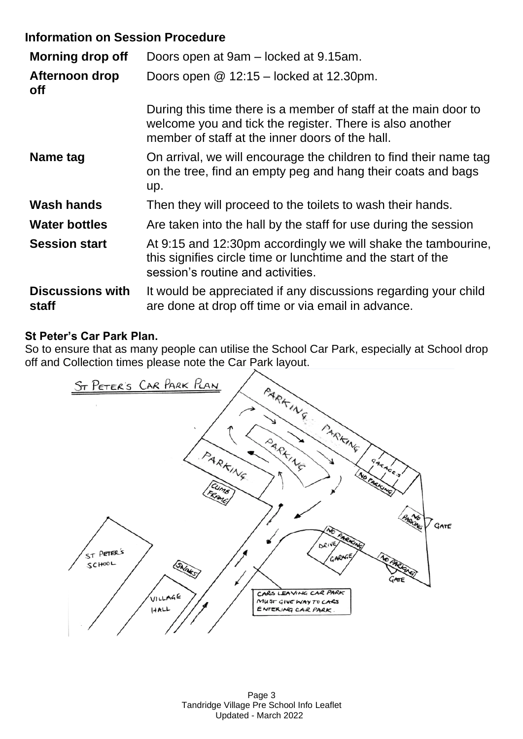## **Information on Session Procedure**

| <b>Morning drop off</b>          | Doors open at 9am – locked at 9.15am.                                                                                                                                          |
|----------------------------------|--------------------------------------------------------------------------------------------------------------------------------------------------------------------------------|
| Afternoon drop<br><b>off</b>     | Doors open $@$ 12:15 – locked at 12.30pm.                                                                                                                                      |
|                                  | During this time there is a member of staff at the main door to<br>welcome you and tick the register. There is also another<br>member of staff at the inner doors of the hall. |
| Name tag                         | On arrival, we will encourage the children to find their name tag<br>on the tree, find an empty peg and hang their coats and bags<br>up.                                       |
| <b>Wash hands</b>                | Then they will proceed to the toilets to wash their hands.                                                                                                                     |
| <b>Water bottles</b>             | Are taken into the hall by the staff for use during the session                                                                                                                |
| <b>Session start</b>             | At 9:15 and 12:30pm accordingly we will shake the tambourine,<br>this signifies circle time or lunchtime and the start of the<br>session's routine and activities.             |
| <b>Discussions with</b><br>staff | It would be appreciated if any discussions regarding your child<br>are done at drop off time or via email in advance.                                                          |

## **St Peter's Car Park Plan.**

So to ensure that as many people can utilise the School Car Park, especially at School drop off and Collection times please note the Car Park layout.